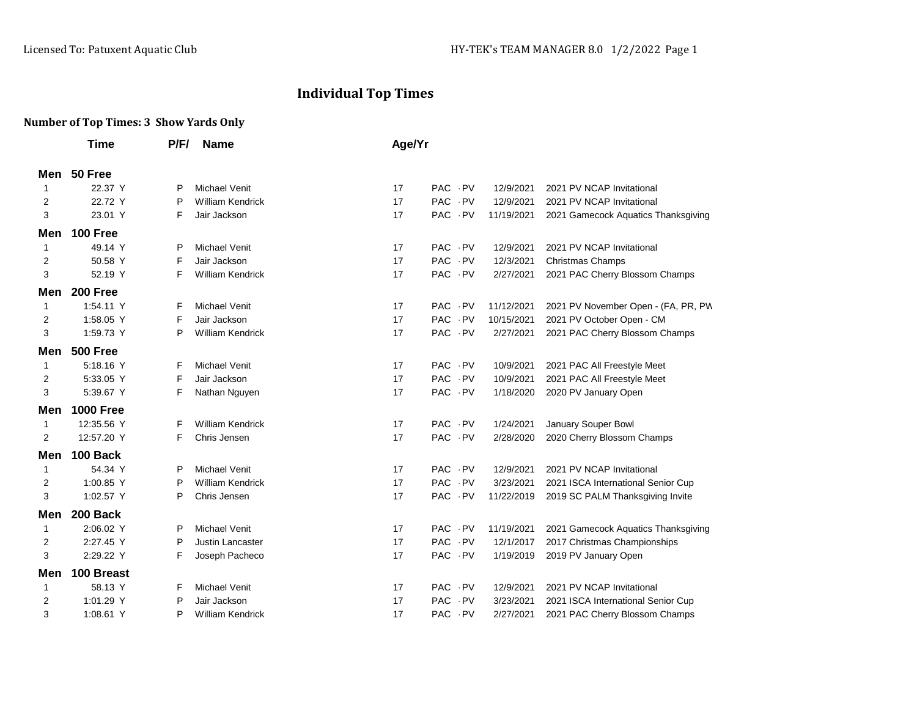## **Individual Top Times**

## **Number of Top Times: 3 Show Yards Only**

|              | Time             | P/F/ | <b>Name</b>             | Age/Yr |            |            |            |                                     |
|--------------|------------------|------|-------------------------|--------|------------|------------|------------|-------------------------------------|
| Men          | 50 Free          |      |                         |        |            |            |            |                                     |
| $\mathbf 1$  | 22.37 Y          | P    | <b>Michael Venit</b>    | 17     | PAC PV     |            | 12/9/2021  | 2021 PV NCAP Invitational           |
| 2            | 22.72 Y          | P    | <b>William Kendrick</b> | 17     | PAC PV     |            | 12/9/2021  | 2021 PV NCAP Invitational           |
| 3            | 23.01 Y          | F    | Jair Jackson            | 17     | PAC PV     |            | 11/19/2021 | 2021 Gamecock Aquatics Thanksgiving |
| Men          | 100 Free         |      |                         |        |            |            |            |                                     |
| 1            | 49.14 Y          | P    | <b>Michael Venit</b>    | 17     | PAC PV     |            | 12/9/2021  | 2021 PV NCAP Invitational           |
| 2            | 50.58 Y          | F    | Jair Jackson            | 17     | PAC PV     |            | 12/3/2021  | <b>Christmas Champs</b>             |
| 3            | 52.19 Y          | F    | <b>William Kendrick</b> | 17     | PAC PV     |            | 2/27/2021  | 2021 PAC Cherry Blossom Champs      |
| Men          | 200 Free         |      |                         |        |            |            |            |                                     |
| 1            | 1:54.11 Y        | F    | Michael Venit           | 17     | PAC - PV   |            | 11/12/2021 | 2021 PV November Open - (FA, PR, PW |
| 2            | 1:58.05 Y        | F    | Jair Jackson            | 17     | PAC PV     |            | 10/15/2021 | 2021 PV October Open - CM           |
| 3            | 1:59.73 Y        | P    | <b>William Kendrick</b> | 17     | PAC PV     |            | 2/27/2021  | 2021 PAC Cherry Blossom Champs      |
| Men          | <b>500 Free</b>  |      |                         |        |            |            |            |                                     |
| 1            | 5:18.16 Y        | F    | <b>Michael Venit</b>    | 17     | PAC PV     |            | 10/9/2021  | 2021 PAC All Freestyle Meet         |
| 2            | 5:33.05 Y        | F    | Jair Jackson            | 17     | PAC PV     |            | 10/9/2021  | 2021 PAC All Freestyle Meet         |
| 3            | 5:39.67 Y        | F    | Nathan Nguyen           | 17     | PAC PV     |            | 1/18/2020  | 2020 PV January Open                |
| Men          | <b>1000 Free</b> |      |                         |        |            |            |            |                                     |
| -1           | 12:35.56 Y       | F    | <b>William Kendrick</b> | 17     | PAC PV     |            | 1/24/2021  | January Souper Bowl                 |
| 2            | 12:57.20 Y       | F    | Chris Jensen            | 17     | PAC - PV   |            | 2/28/2020  | 2020 Cherry Blossom Champs          |
| Men          | 100 Back         |      |                         |        |            |            |            |                                     |
| -1           | 54.34 Y          | P    | <b>Michael Venit</b>    | 17     | PAC PV     |            | 12/9/2021  | 2021 PV NCAP Invitational           |
| 2            | 1:00.85 Y        | P    | <b>William Kendrick</b> | 17     | PAC PV     |            | 3/23/2021  | 2021 ISCA International Senior Cup  |
| 3            | 1:02.57 Y        | P    | Chris Jensen            | 17     | PAC PV     |            | 11/22/2019 | 2019 SC PALM Thanksgiving Invite    |
| Men          | 200 Back         |      |                         |        |            |            |            |                                     |
| $\mathbf{1}$ | 2:06.02 Y        | P    | <b>Michael Venit</b>    | 17     | PAC PV     |            | 11/19/2021 | 2021 Gamecock Aquatics Thanksgiving |
| 2            | 2:27.45 Y        | P    | Justin Lancaster        | 17     | PAC - PV   |            | 12/1/2017  | 2017 Christmas Championships        |
| 3            | 2:29.22 Y        | F    | Joseph Pacheco          | 17     | PAC PV     |            | 1/19/2019  | 2019 PV January Open                |
| Men          | 100 Breast       |      |                         |        |            |            |            |                                     |
| 1            | 58.13 Y          | F    | <b>Michael Venit</b>    | 17     | <b>PAC</b> | $\cdot$ PV | 12/9/2021  | 2021 PV NCAP Invitational           |
| 2            | 1:01.29 Y        | P    | Jair Jackson            | 17     | PAC PV     |            | 3/23/2021  | 2021 ISCA International Senior Cup  |
| 3            | 1:08.61 Y        | P    | <b>William Kendrick</b> | 17     | <b>PAC</b> | . PV       | 2/27/2021  | 2021 PAC Cherry Blossom Champs      |